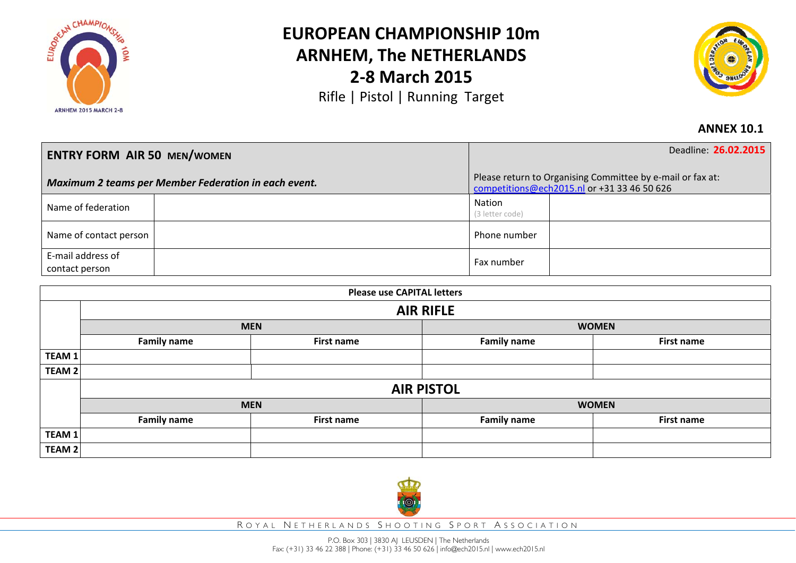

## **EUROPEAN CHAMPIONSHIP 10mARNHEM, The NETHERLANDS 2‐8 March 2015**

Rifle | Pistol | Running Target



## **ANNEX 10.1**

| <b>ENTRY FORM AIR 50 MEN/WOMEN</b>                   |  | Deadline 26.02.2015                                                                                       |  |
|------------------------------------------------------|--|-----------------------------------------------------------------------------------------------------------|--|
| Maximum 2 teams per Member Federation in each event. |  | Please return to Organising Committee by e-mail or fax at:<br>competitions@ech2015.nl or +31 33 46 50 626 |  |
| Name of federation                                   |  | Nation<br>(3 letter code)                                                                                 |  |
| Name of contact person                               |  | Phone number                                                                                              |  |
| E-mail address of<br>contact person                  |  | Fax number                                                                                                |  |

| <b>Please use CAPITAL letters</b> |                    |                   |                    |                   |  |  |
|-----------------------------------|--------------------|-------------------|--------------------|-------------------|--|--|
|                                   | <b>AIR RIFLE</b>   |                   |                    |                   |  |  |
|                                   | <b>MEN</b>         |                   | <b>WOMEN</b>       |                   |  |  |
|                                   | <b>Family name</b> | <b>First name</b> | <b>Family name</b> | <b>First name</b> |  |  |
| TEAM $1$                          |                    |                   |                    |                   |  |  |
| TEAM 2                            |                    |                   |                    |                   |  |  |
|                                   | <b>AIR PISTOL</b>  |                   |                    |                   |  |  |
|                                   |                    | <b>MEN</b>        | <b>WOMEN</b>       |                   |  |  |
|                                   | <b>Family name</b> | <b>First name</b> | <b>Family name</b> | <b>First name</b> |  |  |
| TEAM 1                            |                    |                   |                    |                   |  |  |
| TEAM 2                            |                    |                   |                    |                   |  |  |



R OYAL N ETHERLANDS S HOOTING S PORT A SSOCIATION